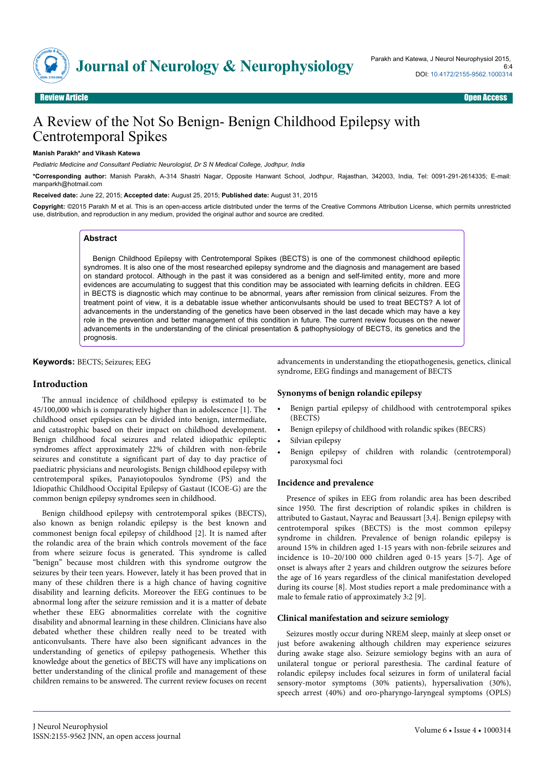

# A Review of the Not So Benign- Benign Childhood Epilepsy with Centrotemporal Spikes

#### **Manish Parakh\* and Vikash Katewa**

*Pediatric Medicine and Consultant Pediatric Neurologist, Dr S N Medical College, Jodhpur, India*

**\*Corresponding author:** Manish Parakh, A-314 Shastri Nagar, Opposite Hanwant School, Jodhpur, Rajasthan, 342003, India, Tel: 0091-291-2614335; E-mail: manparkh@hotmail.com

**Received date:** June 22, 2015; **Accepted date:** August 25, 2015; **Published date:** August 31, 2015

**Copyright:** ©2015 Parakh M et al. This is an open-access article distributed under the terms of the Creative Commons Attribution License, which permits unrestricted use, distribution, and reproduction in any medium, provided the original author and source are credited.

# **Abstract**

Benign Childhood Epilepsy with Centrotemporal Spikes (BECTS) is one of the commonest childhood epileptic syndromes. It is also one of the most researched epilepsy syndrome and the diagnosis and management are based on standard protocol. Although in the past it was considered as a benign and self-limited entity, more and more evidences are accumulating to suggest that this condition may be associated with learning deficits in children. EEG in BECTS is diagnostic which may continue to be abnormal, years after remission from clinical seizures. From the treatment point of view, it is a debatable issue whether anticonvulsants should be used to treat BECTS? A lot of advancements in the understanding of the genetics have been observed in the last decade which may have a key role in the prevention and better management of this condition in future. The current review focuses on the newer advancements in the understanding of the clinical presentation & pathophysiology of BECTS, its genetics and the prognosis.

**Keywords:** BECTS; Seizures; EEG

## **Introduction**

The annual incidence of childhood epilepsy is estimated to be 45/100,000 which is comparatively higher than in adolescence [1]. The childhood onset epilepsies can be divided into benign, intermediate, and catastrophic based on their impact on childhood development. Benign childhood focal seizures and related idiopathic epileptic syndromes affect approximately 22% of children with non-febrile seizures and constitute a significant part of day to day practice of paediatric physicians and neurologists. Benign childhood epilepsy with centrotemporal spikes, Panayiotopoulos Syndrome (PS) and the Idiopathic Childhood Occipital Epilepsy of Gastaut (ICOE-G) are the common benign epilepsy syndromes seen in childhood.

Benign childhood epilepsy with centrotemporal spikes (BECTS), also known as benign rolandic epilepsy is the best known and commonest benign focal epilepsy of childhood [2]. It is named after the rolandic area of the brain which controls movement of the face from where seizure focus is generated. This syndrome is called "benign" because most children with this syndrome outgrow the seizures by their teen years. However, lately it has been proved that in many of these children there is a high chance of having cognitive disability and learning deficits. Moreover the EEG continues to be abnormal long after the seizure remission and it is a matter of debate whether these EEG abnormalities correlate with the cognitive disability and abnormal learning in these children. Clinicians have also debated whether these children really need to be treated with anticonvulsants. There have also been significant advances in the understanding of genetics of epilepsy pathogenesis. Whether this knowledge about the genetics of BECTS will have any implications on better understanding of the clinical profile and management of these children remains to be answered. The current review focuses on recent

advancements in understanding the etiopathogenesis, genetics, clinical syndrome, EEG findings and management of BECTS

## **Synonyms of benign rolandic epilepsy**

- Benign partial epilepsy of childhood with centrotemporal spikes (BECTS)
- Benign epilepsy of childhood with rolandic spikes (BECRS)
- Silvian epilepsy
- Benign epilepsy of children with rolandic (centrotemporal) paroxysmal foci

# **Incidence and prevalence**

Presence of spikes in EEG from rolandic area has been described since 1950. The first description of rolandic spikes in children is attributed to Gastaut, Nayrac and Beaussart [3,4]. Benign epilepsy with centrotemporal spikes (BECTS) is the most common epilepsy syndrome in children. Prevalence of benign rolandic epilepsy is around 15% in children aged 1-15 years with non-febrile seizures and incidence is 10–20/100 000 children aged 0-15 years [5-7]. Age of onset is always after 2 years and children outgrow the seizures before the age of 16 years regardless of the clinical manifestation developed during its course [8]. Most studies report a male predominance with a male to female ratio of approximately 3:2 [9].

## **Clinical manifestation and seizure semiology**

Seizures mostly occur during NREM sleep, mainly at sleep onset or just before awakening although children may experience seizures during awake stage also. Seizure semiology begins with an aura of unilateral tongue or perioral paresthesia. The cardinal feature of rolandic epilepsy includes focal seizures in form of unilateral facial sensory-motor symptoms (30% patients), hypersalivation (30%), speech arrest (40%) and oro-pharyngo-laryngeal symptoms (OPLS)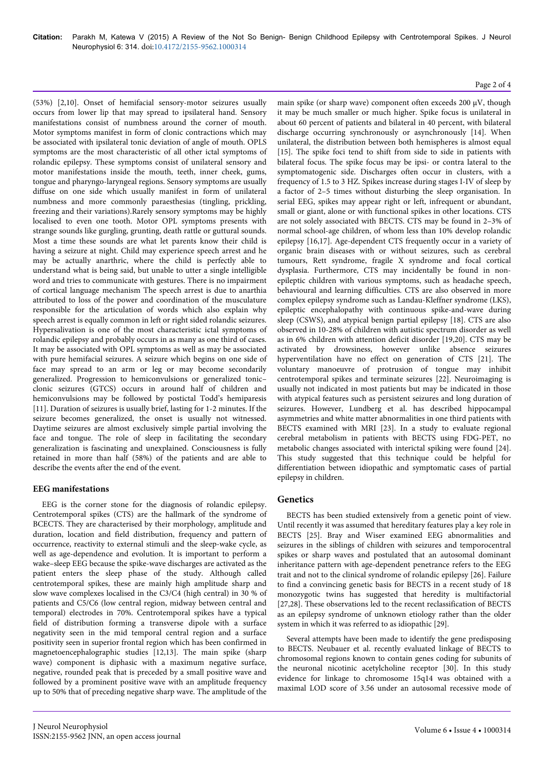(53%) [2,10]. Onset of hemifacial sensory-motor seizures usually occurs from lower lip that may spread to ipsilateral hand. Sensory manifestations consist of numbness around the corner of mouth. Motor symptoms manifest in form of clonic contractions which may be associated with ipsilateral tonic deviation of angle of mouth. OPLS symptoms are the most characteristic of all other ictal symptoms of rolandic epilepsy. These symptoms consist of unilateral sensory and motor manifestations inside the mouth, teeth, inner cheek, gums, tongue and pharyngo-laryngeal regions. Sensory symptoms are usually diffuse on one side which usually manifest in form of unilateral numbness and more commonly paraesthesias (tingling, prickling, freezing and their variations).Rarely sensory symptoms may be highly localised to even one tooth. Motor OPL symptoms presents with strange sounds like gurgling, grunting, death rattle or guttural sounds. Most a time these sounds are what let parents know their child is having a seizure at night. Child may experience speech arrest and he may be actually anarthric, where the child is perfectly able to understand what is being said, but unable to utter a single intelligible word and tries to communicate with gestures. There is no impairment of cortical language mechanism The speech arrest is due to anarthia attributed to loss of the power and coordination of the musculature responsible for the articulation of words which also explain why speech arrest is equally common in left or right sided rolandic seizures. Hypersalivation is one of the most characteristic ictal symptoms of rolandic epilepsy and probably occurs in as many as one third of cases. It may be associated with OPL symptoms as well as may be associated with pure hemifacial seizures. A seizure which begins on one side of face may spread to an arm or leg or may become secondarily generalized. Progression to hemiconvulsions or generalized tonic– clonic seizures (GTCS) occurs in around half of children and hemiconvulsions may be followed by postictal Todd's hemiparesis [11]. Duration of seizures is usually brief, lasting for 1-2 minutes. If the seizure becomes generalized, the onset is usually not witnessed. Daytime seizures are almost exclusively simple partial involving the face and tongue. The role of sleep in facilitating the secondary generalization is fascinating and unexplained. Consciousness is fully retained in more than half (58%) of the patients and are able to describe the events after the end of the event.

# **EEG manifestations**

EEG is the corner stone for the diagnosis of rolandic epilepsy. Centrotemporal spikes (CTS) are the hallmark of the syndrome of BCECTS. They are characterised by their morphology, amplitude and duration, location and field distribution, frequency and pattern of occurrence, reactivity to external stimuli and the sleep-wake cycle, as well as age-dependence and evolution. It is important to perform a wake–sleep EEG because the spike-wave discharges are activated as the patient enters the sleep phase of the study. Although called centrotemporal spikes, these are mainly high amplitude sharp and slow wave complexes localised in the C3/C4 (high central) in 30 % of patients and C5/C6 (low central region, midway between central and temporal) electrodes in 70%. Centrotemporal spikes have a typical field of distribution forming a transverse dipole with a surface negativity seen in the mid temporal central region and a surface positivity seen in superior frontal region which has been confirmed in magnetoencephalographic studies [12,13]. The main spike (sharp wave) component is diphasic with a maximum negative surface, negative, rounded peak that is preceded by a small positive wave and followed by a prominent positive wave with an amplitude frequency up to 50% that of preceding negative sharp wave. The amplitude of the

# Page 2 of 4

main spike (or sharp wave) component often exceeds 200 μV, though it may be much smaller or much higher. Spike focus is unilateral in about 60 percent of patients and bilateral in 40 percent, with bilateral discharge occurring synchronously or asynchronously [14]. When unilateral, the distribution between both hemispheres is almost equal [15]. The spike foci tend to shift from side to side in patients with bilateral focus. The spike focus may be ipsi- or contra lateral to the symptomatogenic side. Discharges often occur in clusters, with a frequency of 1.5 to 3 HZ. Spikes increase during stages I-IV of sleep by a factor of 2–5 times without disturbing the sleep organisation. In serial EEG, spikes may appear right or left, infrequent or abundant, small or giant, alone or with functional spikes in other locations. CTS are not solely associated with BECTS. CTS may be found in 2–3% of normal school-age children, of whom less than 10% develop rolandic epilepsy [16,17]. Age-dependent CTS frequently occur in a variety of organic brain diseases with or without seizures, such as cerebral tumours, Rett syndrome, fragile X syndrome and focal cortical dysplasia. Furthermore, CTS may incidentally be found in nonepileptic children with various symptoms, such as headache speech, behavioural and learning difficulties. CTS are also observed in more complex epilepsy syndrome such as Landau-Kleffner syndrome (LKS), epileptic encephalopathy with continuous spike-and-wave during sleep (CSWS), and atypical benign partial epilepsy [18]. CTS are also observed in 10-28% of children with autistic spectrum disorder as well as in 6% children with attention deficit disorder [19,20]. CTS may be activated by drowsiness, however unlike absence seizures hyperventilation have no effect on generation of CTS [21]. The voluntary manoeuvre of protrusion of tongue may inhibit centrotemporal spikes and terminate seizures [22]. Neuroimaging is usually not indicated in most patients but may be indicated in those with atypical features such as persistent seizures and long duration of seizures. However, Lundberg et al. has described hippocampal asymmetries and white matter abnormalities in one third patients with BECTS examined with MRI [23]. In a study to evaluate regional cerebral metabolism in patients with BECTS using FDG-PET, no metabolic changes associated with interictal spiking were found [24]. This study suggested that this technique could be helpful for differentiation between idiopathic and symptomatic cases of partial epilepsy in children.

# **Genetics**

BECTS has been studied extensively from a genetic point of view. Until recently it was assumed that hereditary features play a key role in BECTS [25]. Bray and Wiser examined EEG abnormalities and seizures in the siblings of children with seizures and temporocentral spikes or sharp waves and postulated that an autosomal dominant inheritance pattern with age-dependent penetrance refers to the EEG trait and not to the clinical syndrome of rolandic epilepsy [26]. Failure to find a convincing genetic basis for BECTS in a recent study of 18 monozygotic twins has suggested that heredity is multifactorial [27,28]. These observations led to the recent reclassification of BECTS as an epilepsy syndrome of unknown etiology rather than the older system in which it was referred to as idiopathic [29].

Several attempts have been made to identify the gene predisposing to BECTS. Neubauer et al. recently evaluated linkage of BECTS to chromosomal regions known to contain genes coding for subunits of the neuronal nicotinic acetylcholine receptor [30]. In this study evidence for linkage to chromosome 15q14 was obtained with a maximal LOD score of 3.56 under an autosomal recessive mode of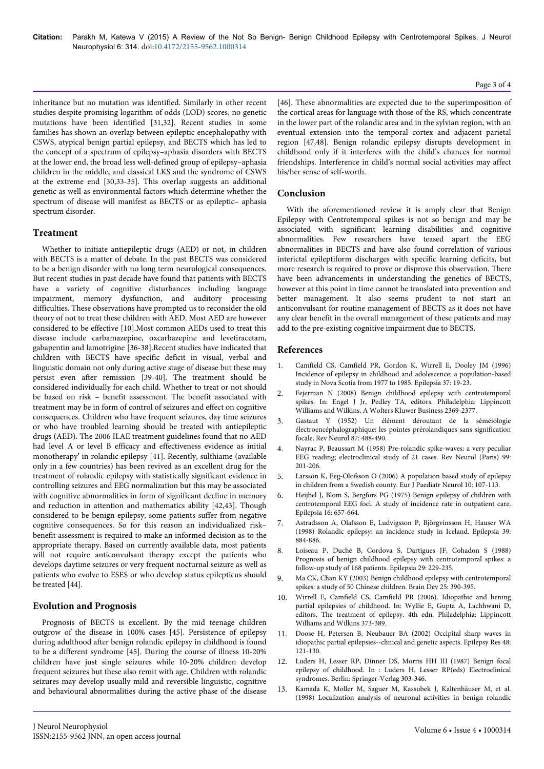inheritance but no mutation was identified. Similarly in other recent studies despite promising logarithm of odds (LOD) scores, no genetic mutations have been identified [31,32]. Recent studies in some families has shown an overlap between epileptic encephalopathy with CSWS, atypical benign partial epilepsy, and BECTS which has led to the concept of a spectrum of epilepsy–aphasia disorders with BECTS at the lower end, the broad less well-defined group of epilepsy–aphasia children in the middle, and classical LKS and the syndrome of CSWS at the extreme end [30,33-35]. This overlap suggests an additional genetic as well as environmental factors which determine whether the spectrum of disease will manifest as BECTS or as epileptic– aphasia spectrum disorder.

# **Treatment**

Whether to initiate antiepileptic drugs (AED) or not, in children with BECTS is a matter of debate. In the past BECTS was considered to be a benign disorder with no long term neurological consequences. But recent studies in past decade have found that patients with BECTS have a variety of cognitive disturbances including language impairment, memory dysfunction, and auditory processing difficulties. These observations have prompted us to reconsider the old theory of not to treat these children with AED. Most AED are however considered to be effective [10].Most common AEDs used to treat this disease include carbamazepine, oxcarbazepine and levetiracetam, gabapentin and lamotrigine [36-38].Recent studies have indicated that children with BECTS have specific deficit in visual, verbal and linguistic domain not only during active stage of disease but these may persist even after remission [39-40]. The treatment should be considered individually for each child. Whether to treat or not should be based on risk – benefit assessment. The benefit associated with treatment may be in form of control of seizures and effect on cognitive consequences. Children who have frequent seizures, day time seizures or who have troubled learning should be treated with antiepileptic drugs (AED). The 2006 ILAE treatment guidelines found that no AED had level A or level B efficacy and effectiveness evidence as initial monotherapy' in rolandic epilepsy [41]. Recently, sulthiame (available only in a few countries) has been revived as an excellent drug for the treatment of rolandic epilepsy with statistically significant evidence in controlling seizures and EEG normalization but this may be associated with cognitive abnormalities in form of significant decline in memory and reduction in attention and mathematics ability [42,43]. Though considered to be benign epilepsy, some patients suffer from negative cognitive consequences. So for this reason an individualized risk– benefit assessment is required to make an informed decision as to the appropriate therapy. Based on currently available data, most patients will not require anticonvulsant therapy except the patients who develops daytime seizures or very frequent nocturnal seizure as well as patients who evolve to ESES or who develop status epilepticus should be treated [44].

## **Evolution and Prognosis**

Prognosis of BECTS is excellent. By the mid teenage children outgrow of the disease in 100% cases [45]. Persistence of epilepsy during adulthood after benign rolandic epilepsy in childhood is found to be a different syndrome [45]. During the course of illness 10-20% children have just single seizures while 10-20% children develop frequent seizures but these also remit with age. Children with rolandic seizures may develop usually mild and reversible linguistic, cognitive and behavioural abnormalities during the active phase of the disease [46]. These abnormalities are expected due to the superimposition of the cortical areas for language with those of the RS, which concentrate in the lower part of the rolandic area and in the sylvian region, with an eventual extension into the temporal cortex and adjacent parietal region [47,48]. Benign rolandic epilepsy disrupts development in childhood only if it interferes with the child's chances for normal friendships. Interference in child's normal social activities may affect his/her sense of self-worth.

# **Conclusion**

With the aforementioned review it is amply clear that Benign Epilepsy with Centrotemporal spikes is not so benign and may be associated with significant learning disabilities and cognitive abnormalities. Few researchers have teased apart the EEG abnormalities in BECTS and have also found correlation of various interictal epileptiform discharges with specific learning deficits, but more research is required to prove or disprove this observation. There have been advancements in understanding the genetics of BECTS, however at this point in time cannot be translated into prevention and better management. It also seems prudent to not start an anticonvulsant for routine management of BECTS as it does not have any clear benefit in the overall management of these patients and may add to the pre-existing cognitive impairment due to BECTS.

## **References**

- 1. [Camfield CS, Camfield PR, Gordon K, Wirrell E, Dooley JM \(1996\)](http://www.ncbi.nlm.nih.gov/pubmed/8603618) [Incidence of epilepsy in childhood and adolescence: a population-based](http://www.ncbi.nlm.nih.gov/pubmed/8603618) [study in Nova Scotia from 1977 to 1985. Epilepsia 37: 19-23.](http://www.ncbi.nlm.nih.gov/pubmed/8603618)
- 2. Fejerman N (2008) Benign childhood epilepsy with centrotemporal spikes. In: Engel J Jr, Pedley TA, editors. Philadelphia: Lippincott Williams and Wilkins, A Wolters Kluwer Business 2369-2377.
- 3. Gastaut Y (1952) Un élément déroutant de la séméiologie électroencéphalographique: les pointes prérolandiques sans signification focale. Rev Neurol 87: 488-490.
- 4. Nayrac P, Beaussart M (1958) Pre-rolandic spike-waves: a very peculiar EEG reading; electroclinical study of 21 cases. Rev Neurol (Paris) 99: 201-206.
- [Larsson K, Eeg-Olofsson O \(2006\) A population based study of epilepsy](http://www.ncbi.nlm.nih.gov/pubmed/16638642) [in children from a Swedish county. Eur J Paediatr Neurol 10: 107-113.](http://www.ncbi.nlm.nih.gov/pubmed/16638642)
- 6. [Heijbel J, Blom S, Bergfors PG \(1975\) Benign epilepsy of children with](http://www.ncbi.nlm.nih.gov/pubmed/816642) [centrotemporal EEG foci. A study of incidence rate in outpatient care.](http://www.ncbi.nlm.nih.gov/pubmed/816642) [Epilepsia 16: 657-664.](http://www.ncbi.nlm.nih.gov/pubmed/816642)
- 7. [Astradsson A, Olafsson E, Ludvigsson P, Björgvinsson H, Hauser WA](http://www.ncbi.nlm.nih.gov/pubmed/9701381) [\(1998\) Rolandic epilepsy: an incidence study in Iceland. Epilepsia 39:](http://www.ncbi.nlm.nih.gov/pubmed/9701381) [884-886.](http://www.ncbi.nlm.nih.gov/pubmed/9701381)
- 8. [Loiseau P, Duché B, Cordova S, Dartigues JF, Cohadon S \(1988\)](http://www.ncbi.nlm.nih.gov/pubmed/3371279) [Prognosis of benign childhood epilepsy with centrotemporal spikes: a](http://www.ncbi.nlm.nih.gov/pubmed/3371279) [follow-up study of 168 patients. Epilepsia 29: 229-235.](http://www.ncbi.nlm.nih.gov/pubmed/3371279)
- 9. [Ma CK, Chan KY \(2003\) Benign childhood epilepsy with centrotemporal](http://www.ncbi.nlm.nih.gov/pubmed/12907271) [spikes: a study of 50 Chinese children. Brain Dev 25: 390-395.](http://www.ncbi.nlm.nih.gov/pubmed/12907271)
- 10. Wirrell E, Camfield CS, Camfield PR (2006). Idiopathic and bening partial epilepsies of childhood. In: Wyllie E, Gupta A, Lachhwani D, editors. The treatment of epilepsy. 4th edn. Philadelphia: Lippincott Williams and Wilkins 373-389.
- 11. [Doose H, Petersen B, Neubauer BA \(2002\) Occipital sharp waves in](http://www.ncbi.nlm.nih.gov/pubmed/11823116) [idiopathic partial epilepsies--clinical and genetic aspects. Epilepsy Res 48:](http://www.ncbi.nlm.nih.gov/pubmed/11823116) [121-130.](http://www.ncbi.nlm.nih.gov/pubmed/11823116)
- 12. Luders H, Lesser RP, Dinner DS, Morris HH III (1987) Benign focal epilepsy of childhood. In : Luders H, Lesser RP(eds) Electroclinical syndromes. Berlin: Springer-Verlag 303-346.
- 13. [Kamada K, Moller M, Saguer M, Kassubek J, Kaltenhäuser M, et al.](http://www.ncbi.nlm.nih.gov/pubmed/9562307) [\(1998\) Localization analysis of neuronal activities in benign rolandic](http://www.ncbi.nlm.nih.gov/pubmed/9562307)